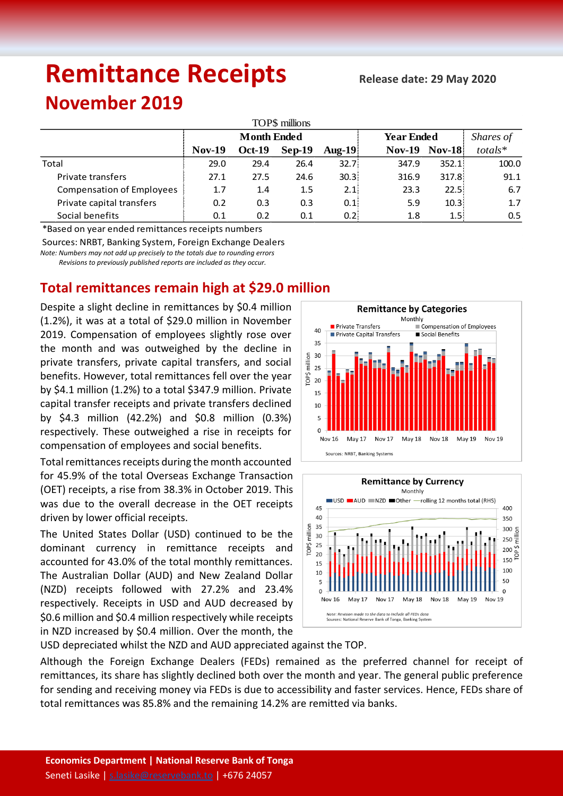# **Remittance Receipts**

## **November 2019**

| TOP\$ millions                   |                    |               |          |        |                   |               |         |  |  |  |  |  |  |
|----------------------------------|--------------------|---------------|----------|--------|-------------------|---------------|---------|--|--|--|--|--|--|
|                                  | <b>Month Ended</b> |               |          |        | <b>Year Ended</b> | Shares of     |         |  |  |  |  |  |  |
|                                  | <b>Nov-19</b>      | <b>Oct-19</b> | $Sep-19$ | Aug-19 | $Nov-19$          | <b>Nov-18</b> | totals* |  |  |  |  |  |  |
| Total                            | 29.0               | 29.4          | 26.4     | 32.7   | 347.9             | 352.1         | 100.0   |  |  |  |  |  |  |
| <b>Private transfers</b>         | 27.1               | 27.5          | 24.6     | 30.3   | 316.9             | 317.8         | 91.1    |  |  |  |  |  |  |
| <b>Compensation of Employees</b> | 1.7                | 1.4           | 1.5      | 2.1    | 23.3              | 22.5!         | 6.7     |  |  |  |  |  |  |
| Private capital transfers        | 0.2                | 0.3           | 0.3      | 0.1    | 5.9               | 10.31         | 1.7     |  |  |  |  |  |  |
| Social benefits                  | 0.1                | 0.2           | 0.1      | 0.21   | 1.8               | 1.5!          | 0.5     |  |  |  |  |  |  |

\*Based on year ended remittances receipts numbers

Sources: NRBT, Banking System, Foreign Exchange Dealers

*Note: Numbers may not add up precisely to the totals due to rounding errors*

 *Revisions to previously published reports are included as they occur.*

### **Total remittances remain high at \$29.0 million**

Despite a slight decline in remittances by \$0.4 million (1.2%), it was at a total of \$29.0 million in November 2019. Compensation of employees slightly rose over the month and was outweighed by the decline in private transfers, private capital transfers, and social benefits. However, total remittances fell over the year by \$4.1 million (1.2%) to a total \$347.9 million. Private capital transfer receipts and private transfers declined by \$4.3 million (42.2%) and \$0.8 million (0.3%) respectively. These outweighed a rise in receipts for compensation of employees and social benefits.

Total remittances receipts during the month accounted for 45.9% of the total Overseas Exchange Transaction (OET) receipts, a rise from 38.3% in October 2019. This was due to the overall decrease in the OET receipts driven by lower official receipts.

The United States Dollar (USD) continued to be the dominant currency in remittance receipts and accounted for 43.0% of the total monthly remittances. The Australian Dollar (AUD) and New Zealand Dollar (NZD) receipts followed with 27.2% and 23.4% respectively. Receipts in USD and AUD decreased by \$0.6 million and \$0.4 million respectively while receipts in NZD increased by \$0.4 million. Over the month, the





USD depreciated whilst the NZD and AUD appreciated against the TOP.

Although the Foreign Exchange Dealers (FEDs) remained as the preferred channel for receipt of remittances, its share has slightly declined both over the month and year. The general public preference for sending and receiving money via FEDs is due to accessibility and faster services. Hence, FEDs share of total remittances was 85.8% and the remaining 14.2% are remitted via banks.